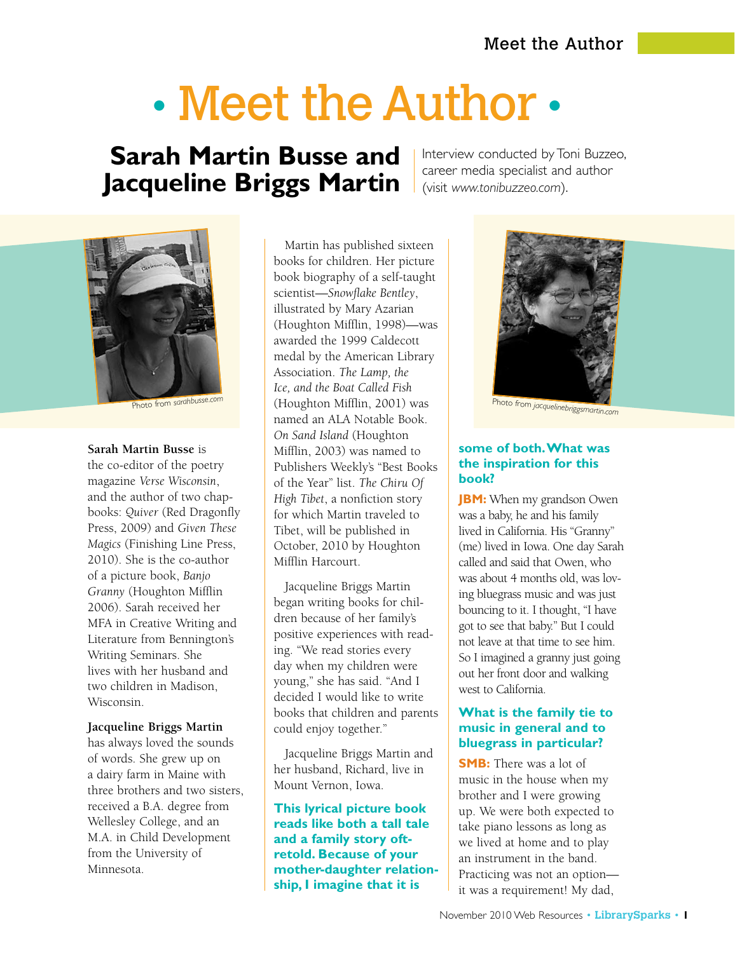# • Meet the Author •

# **Sarah Martin Busse and Jacqueline Briggs Martin**

Interview conducted by Toni Buzzeo, career media specialist and author (visit *www.tonibuzzeo.com*).



Photo from *sarahbusse.com*

#### **Sarah Martin Busse** is

the co-editor of the poetry magazine *Verse Wisconsin*, and the author of two chapbooks: *Quiver* (Red Dragonfly Press, 2009) and *Given These Magics* (Finishing Line Press, 2010). She is the co-author of a picture book, *Banjo Granny* (Houghton Mifflin 2006). Sarah received her MFA in Creative Writing and Literature from Bennington's Writing Seminars. She lives with her husband and two children in Madison, Wisconsin.

#### **Jacqueline Briggs Martin**

has always loved the sounds of words. She grew up on a dairy farm in Maine with three brothers and two sisters, received a B.A. degree from Wellesley College, and an M.A. in Child Development from the University of Minnesota.

Martin has published sixteen books for children. Her picture book biography of a self-taught scientist—*Snowflake Bentley*, illustrated by Mary Azarian (Houghton Mifflin, 1998)—was awarded the 1999 Caldecott medal by the American Library Association. *The Lamp, the Ice, and the Boat Called Fish* (Houghton Mifflin, 2001) was named an ALA Notable Book. *On Sand Island* (Houghton Mifflin, 2003) was named to Publishers Weekly's "Best Books of the Year" list. *The Chiru Of High Tibet*, a nonfiction story for which Martin traveled to Tibet, will be published in October, 2010 by Houghton Mifflin Harcourt.

Jacqueline Briggs Martin began writing books for children because of her family's positive experiences with reading. "We read stories every day when my children were young," she has said. "And I decided I would like to write books that children and parents could enjoy together."

Jacqueline Briggs Martin and her husband, Richard, live in Mount Vernon, Iowa.

#### **This lyrical picture book reads like both a tall tale and a family story oftretold. Because of your mother-daughter relationship, I imagine that it is**



#### **some of both. What was the inspiration for this book?**

**JBM:** When my grandson Owen was a baby, he and his family lived in California. His "Granny" (me) lived in Iowa. One day Sarah called and said that Owen, who was about 4 months old, was loving bluegrass music and was just bouncing to it. I thought, "I have got to see that baby." But I could not leave at that time to see him. So I imagined a granny just going out her front door and walking west to California.

### **What is the family tie to music in general and to bluegrass in particular?**

**SMB:** There was a lot of music in the house when my brother and I were growing up. We were both expected to take piano lessons as long as we lived at home and to play an instrument in the band. Practicing was not an option it was a requirement! My dad,